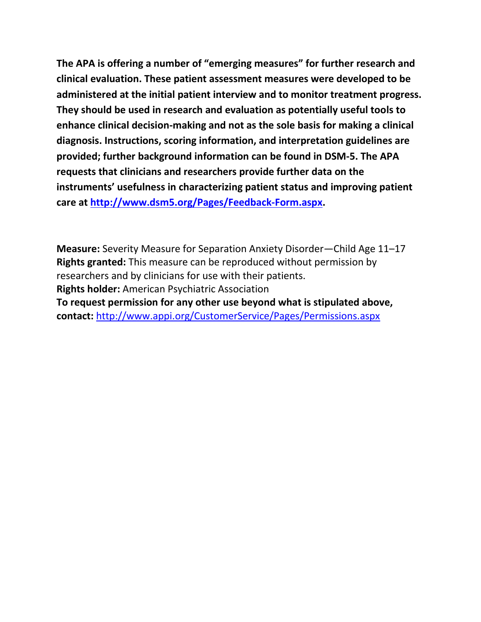**The APA is offering a number of "emerging measures" for further research and clinical evaluation. These patient assessment measures were developed to be administered at the initial patient interview and to monitor treatment progress. They should be used in research and evaluation as potentially useful tools to enhance clinical decision-making and not as the sole basis for making a clinical diagnosis. Instructions, scoring information, and interpretation guidelines are provided; further background information can be found in DSM-5. The APA requests that clinicians and researchers provide further data on the instruments' usefulness in characterizing patient status and improving patient care at [http://www.dsm5.org/Pages/Feedback-Form.aspx.](http://www.dsm5.org/Pages/Feedback-Form.aspx)**

**Measure:** Severity Measure for Separation Anxiety Disorder—Child Age 11–17 **Rights granted:** This measure can be reproduced without permission by researchers and by clinicians for use with their patients. **Rights holder:** American Psychiatric Association **To request permission for any other use beyond what is stipulated above, contact:** <http://www.appi.org/CustomerService/Pages/Permissions.aspx>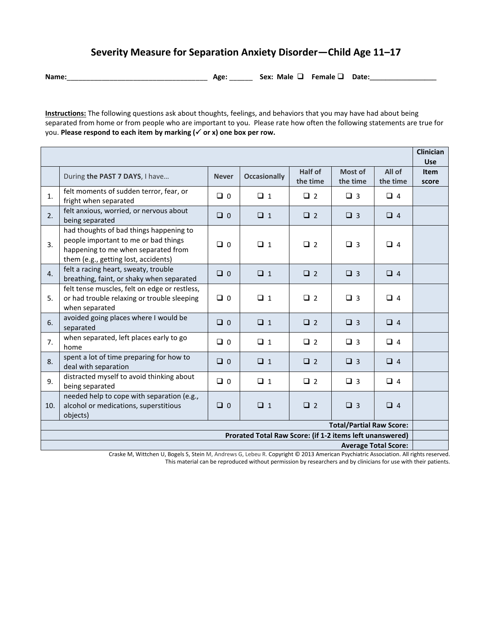## **Severity Measure for Separation Anxiety Disorder—Child Age 11–17**

**Name:**\_\_\_\_\_\_\_\_\_\_\_\_\_\_\_\_\_\_\_\_\_\_\_\_\_\_\_\_\_\_\_\_\_\_\_\_ **Age:** \_\_\_\_\_\_ **Sex: Male Female Date:\_\_\_\_\_\_\_\_\_\_\_\_\_\_\_\_\_**

**Instructions:** The following questions ask about thoughts, feelings, and behaviors that you may have had about being separated from home or from people who are important to you. Please rate how often the following statements are true for you. **Please respond to each item by marking ( or x) one box per row.** 

|                                                                                         |                                                                                                                                                                |              |                     |                     |                     |                    | <b>Clinician</b><br><b>Use</b> |
|-----------------------------------------------------------------------------------------|----------------------------------------------------------------------------------------------------------------------------------------------------------------|--------------|---------------------|---------------------|---------------------|--------------------|--------------------------------|
|                                                                                         | During the PAST 7 DAYS, I have                                                                                                                                 | <b>Never</b> | <b>Occasionally</b> | Half of<br>the time | Most of<br>the time | All of<br>the time | <b>Item</b><br>score           |
| 1.                                                                                      | felt moments of sudden terror, fear, or<br>fright when separated                                                                                               | $\Box$ 0     | $\Box$ 1            | $\Box$ 2            | $\Box$ 3            | $\Box$ 4           |                                |
| 2.                                                                                      | felt anxious, worried, or nervous about<br>being separated                                                                                                     | $\Box$ 0     | $\Box$ 1            | $\Box$ 2            | $\Box$ 3            | $\Box$ 4           |                                |
| 3.                                                                                      | had thoughts of bad things happening to<br>people important to me or bad things<br>happening to me when separated from<br>them (e.g., getting lost, accidents) | $\Box$ 0     | $\Box$ 1            | $\Box$ 2            | $\Box$ 3            | $\Box$ 4           |                                |
| $\overline{4}$ .                                                                        | felt a racing heart, sweaty, trouble<br>breathing, faint, or shaky when separated                                                                              | $\Box$ 0     | $\Box$ 1            | $\Box$ 2            | $\Box$ 3            | $\Box$ 4           |                                |
| 5.                                                                                      | felt tense muscles, felt on edge or restless,<br>or had trouble relaxing or trouble sleeping<br>when separated                                                 | $\Box$ 0     | $\Box$ 1            | $\Box$ 2            | $\Box$ 3            | $\Box$ 4           |                                |
| 6.                                                                                      | avoided going places where I would be<br>separated                                                                                                             | $\Box$ 0     | $\Box$ 1            | $\Box$ 2            | $\Box$ 3            | $\Box$ 4           |                                |
| 7.                                                                                      | when separated, left places early to go<br>home                                                                                                                | $\Box$ 0     | $\Box$ 1            | $\Box$ 2            | $\Box$ 3            | $\Box$ 4           |                                |
| 8.                                                                                      | spent a lot of time preparing for how to<br>deal with separation                                                                                               | $\Box$ 0     | $\Box$ 1            | $\Box$ 2            | $\Box$ 3            | $\Box$ 4           |                                |
| 9.                                                                                      | distracted myself to avoid thinking about<br>being separated                                                                                                   | $\Box$ 0     | $\Box$ 1            | $\Box$ 2            | $\Box$ 3            | $\Box$ 4           |                                |
| 10.                                                                                     | needed help to cope with separation (e.g.,<br>alcohol or medications, superstitious<br>objects)                                                                | $\Box$ 0     | $\Box$ 1            | $\Box$ 2            | $\Box$ 3            | $\Box$ 4           |                                |
| <b>Total/Partial Raw Score:</b>                                                         |                                                                                                                                                                |              |                     |                     |                     |                    |                                |
| Prorated Total Raw Score: (if 1-2 items left unanswered)<br><b>Average Total Score:</b> |                                                                                                                                                                |              |                     |                     |                     |                    |                                |
|                                                                                         |                                                                                                                                                                |              |                     |                     |                     |                    |                                |

Craske M, Wittchen U, Bogels S, Stein M, Andrews G, Lebeu R. Copyright © 2013 American Psychiatric Association. All rights reserved. This material can be reproduced without permission by researchers and by clinicians for use with their patients.